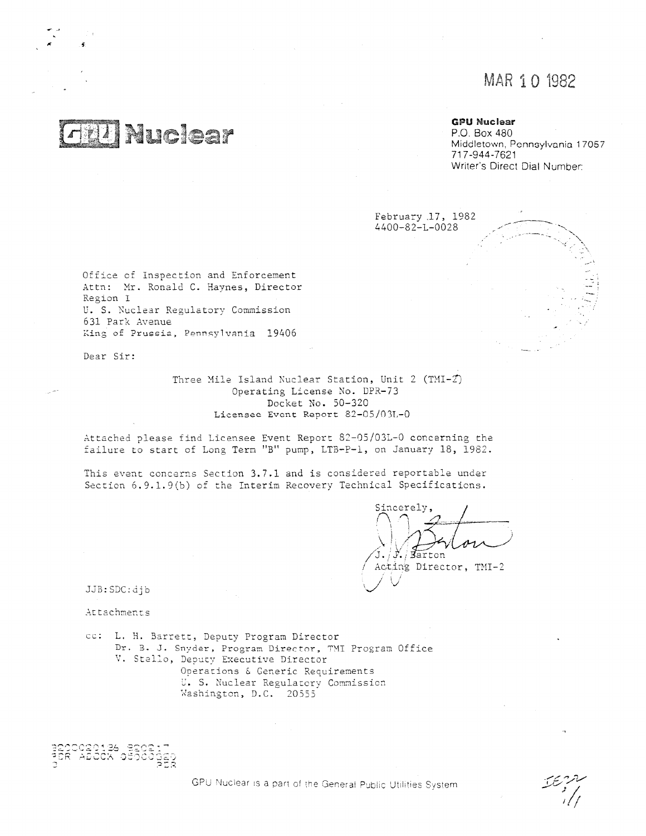# MAR 1 0 1982

# **20 Nuclear**

# **GPU Nuclear**

P.O. Box 480 Middletown, Pennsylvania 17057 717-944-7621 Writer's Direct Dial Number:

February 17, 1982 4400-82-L-0028

Office of Inspection and Enforcement Attn: Mr. Ronald C. Haynes, Director Region I U. S. Nuclear Regulatory Commission 631 Park Avenue King of Prussia, Pennsylvania 19406

Dear Sir:

Three Mile Island Nuclear Station, Unit 2  $(TMI-Z)$ Operating License No. DPR-73 Docket No. 50-320 Licensee Event Report 82-05/03L-0

Attached please find Licensee Event Report 82-05/03L-0 concerning the failure to start of Long Term "B" pump, LTB-P-1, on January 18, 1982.

This event concerns Section 3.7.1 and is considered reportable under Section 6.9.1.9(b) of the Interim Recovery Technical Specifications.

Sincerely. / Farton

Acting Director, TMI-2

JJB:SDC:djb

Attachments

cc: L. H. Barrett, Deputy Program Director Dr. B. J. Snyder, Program Director, TMI Program Office V. Stello, Deputy Executive Director Operations & Generic Requirements U. S. Nuclear Regulatory Commission Washington, D.C. 20553

26 BROSIT<br>K OCOCOG<u>ED</u>

GPU Nuclear is a part of the General Public Utilities System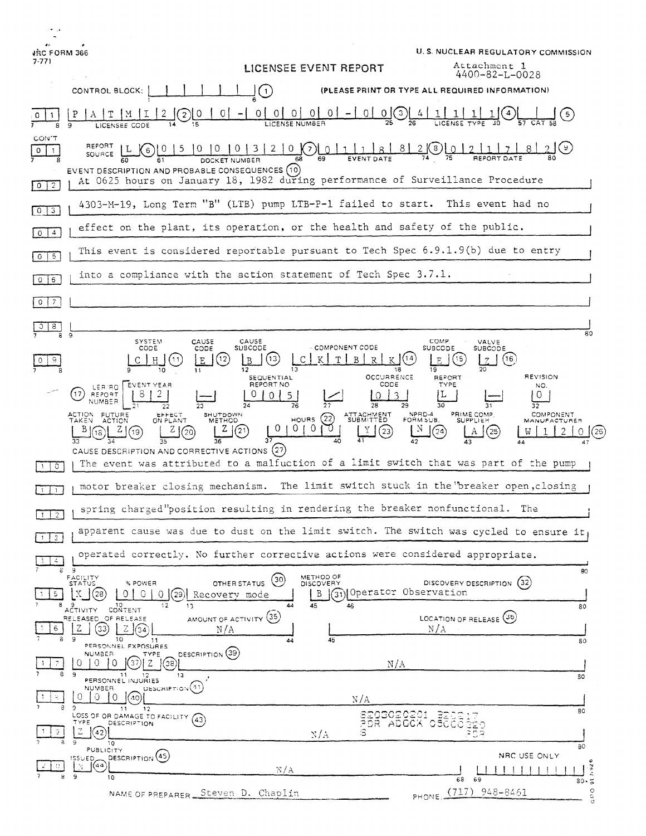| ÷.                                    |                                                                                                                                                                                                                                                                                                                                                                                                                      |
|---------------------------------------|----------------------------------------------------------------------------------------------------------------------------------------------------------------------------------------------------------------------------------------------------------------------------------------------------------------------------------------------------------------------------------------------------------------------|
| JRC FORM 366                          | U.S. NUCLEAR REGULATORY COMMISSION                                                                                                                                                                                                                                                                                                                                                                                   |
| $7-771$                               | Attachment 1<br>LICENSEE EVENT REPORT<br>4400-82-L-0028                                                                                                                                                                                                                                                                                                                                                              |
|                                       | (PLEASE PRINT OR TYPE ALL REQUIRED INFORMATION)<br>CONTROL BLOCK:<br>$\mathbf{1}$                                                                                                                                                                                                                                                                                                                                    |
|                                       | $\circ$<br>0.<br>0<br>$\overline{0}$<br>$\mathbf{3}$<br>0<br>LICENSE NUMBER<br>LICENSEE CODE                                                                                                                                                                                                                                                                                                                         |
| CON T<br>$\mathbf{0}$<br>$\mathbf{1}$ | REPORT<br>2(8)<br>$20(X)$ $0111$<br>8 <sub>1</sub><br>3 I<br>1 O<br>6<br>SOURCE<br>EVENT DESCRIPTION AND PROBABLE CONSEQUENCES (10)<br>At 0625 hours on January 18, 1982 during performance of Surveillance Procedure                                                                                                                                                                                                |
|                                       | 4303-M-19, Long Term "B" (LTB) pump LTB-P-1 failed to start.<br>This event had no                                                                                                                                                                                                                                                                                                                                    |
| 0 3<br>$0 \mid 4$                     | effect on the plant, its operation, or the health and safety of the public.                                                                                                                                                                                                                                                                                                                                          |
| $0 \mid 5$                            | This event is considered reportable pursuant to Tech Spec 6.9.1.9(b) due to entry                                                                                                                                                                                                                                                                                                                                    |
| $0 \mid 6$                            | into a compliance with the action statement of Tech Spec $3.7.1$ .                                                                                                                                                                                                                                                                                                                                                   |
| $\overline{7}$<br>$\circ$             |                                                                                                                                                                                                                                                                                                                                                                                                                      |
| $3 \mid 8$                            |                                                                                                                                                                                                                                                                                                                                                                                                                      |
|                                       | 80<br>9<br>CAUSE<br>COMP.<br>SYSTEM<br>CAUSE<br>VALVE                                                                                                                                                                                                                                                                                                                                                                |
|                                       | <b>SUBCODE</b><br>- COMPONENT CODE<br>CODE<br>CODE<br><b>SUBCODE</b><br><b>SUBCODE</b><br>(16)<br>$ 12\rangle$<br>'13<br>E<br>15.<br>Η<br>11<br>B<br>F.<br>B<br>7<br>12<br>19<br>10<br>13<br>18<br>11<br><b>REVISION</b>                                                                                                                                                                                             |
|                                       | <b>OCCURRENCE</b><br>SEQUENTIAL<br><b>REPORT</b><br>REPORT NO<br>CODE<br>TYPE<br>EVENT YEAR<br>NO.<br>LER RO<br>17<br><b>REPORT</b><br>0<br>NUMBER<br>26<br>29<br>30<br>28<br>32                                                                                                                                                                                                                                     |
|                                       | NPRD-4<br>PRIME COMP.<br>COMPONENT<br>ACTION FUTURE<br>TAKEN ACTION<br>SHUTDOWN<br>ATTACHMENT<br>EPHECT<br>ON PLANT<br>(22)<br><b>HOURS</b><br>FORM SUB.<br><b>SUPPLIEH</b><br><b>METHOD</b><br>MANUFACTURER<br>$\overline{0}$<br>0<br>0<br>Z<br>21<br>23<br>20<br>25<br>37<br>CAUSE DESCRIPTION AND CORRECTIVE ACTIONS (27)<br>The event was attributed to a malfuction of a limit switch that was part of the pump |
| $\circ$                               |                                                                                                                                                                                                                                                                                                                                                                                                                      |
|                                       | The limit switch stuck in the "breaker open, closing<br>motor breaker closing mechanism.                                                                                                                                                                                                                                                                                                                             |
| $1 \mid 2$                            | spring charged"position resulting in rendering the breaker nonfunctional. The                                                                                                                                                                                                                                                                                                                                        |
| З.                                    | apparent cause was due to dust on the limit switch. The switch was cycled to ensure it                                                                                                                                                                                                                                                                                                                               |
| 4.<br>ε                               | operated correctly. No further corrective actions were considered appropriate.<br>- 9<br>80                                                                                                                                                                                                                                                                                                                          |
| 5.<br>8                               | METHOD OF<br>FACILITY<br>STATUS<br>(30)<br>DISCOVERY DESCRIPTION (32)<br>OTHER STATUS<br>% POWER<br>DISCOVERY<br>(31) Operator Observation<br>0<br>$Q_{\parallel}$<br>(29)<br>B<br>(28<br>01<br>Recovery mode<br>44<br>45<br>46<br>12<br>13<br><b>CONTENT</b><br>80<br>AČTIVITY                                                                                                                                      |
| 6                                     | AMOUNT OF ACTIVITY (35)<br>LOCATION OF RELEASE (36)<br>RELEASED OF RELEASE<br>Ζ<br>N/A<br>33<br>آ34)<br>N/A<br>9<br>10                                                                                                                                                                                                                                                                                               |
| 7                                     | 45<br>11<br>44<br>80<br>PERSONNEL EXPOSURES<br>DESCRIPTION (39)<br><b>NUMBER</b><br><b>TYPE</b><br>$(37)$   Z<br>0<br>0<br>$\Omega$<br> (38)                                                                                                                                                                                                                                                                         |
| 8                                     | N/A<br>-9<br>11<br>13<br>11 12<br>PERSONNEL INJURIES<br>80                                                                                                                                                                                                                                                                                                                                                           |
|                                       | DESCRIPTION <sup>(41)</sup><br>NUMBER<br>0<br>0.<br>$\Omega$<br>40<br>N/A                                                                                                                                                                                                                                                                                                                                            |
| 9.                                    | ۹<br>12<br>-11<br>80<br>SE03020201 BECC<br>LOSS OF OR DAMAGE TO FACILITY (43)<br>TYPE<br>DESCRIPTION<br>Q20<br>Z<br>l(42)<br>з<br>ະວຊ<br>N/A                                                                                                                                                                                                                                                                         |
|                                       | $\Omega$<br>10<br>80<br>PUBLICITY<br>NRC USE ONLY<br>DESCRIPTION <sup>(45)</sup><br>ISSUED,<br>(44)<br>N                                                                                                                                                                                                                                                                                                             |
| 8                                     | $\frac{1}{80}$ , $\frac{5}{8}$<br>N/A<br>$\pm$<br>9.<br>10<br>68<br>69                                                                                                                                                                                                                                                                                                                                               |
|                                       | $\circ$<br>PHONE (717) 948-8461<br>NAME OF PREPARER Steven D. Chaplin                                                                                                                                                                                                                                                                                                                                                |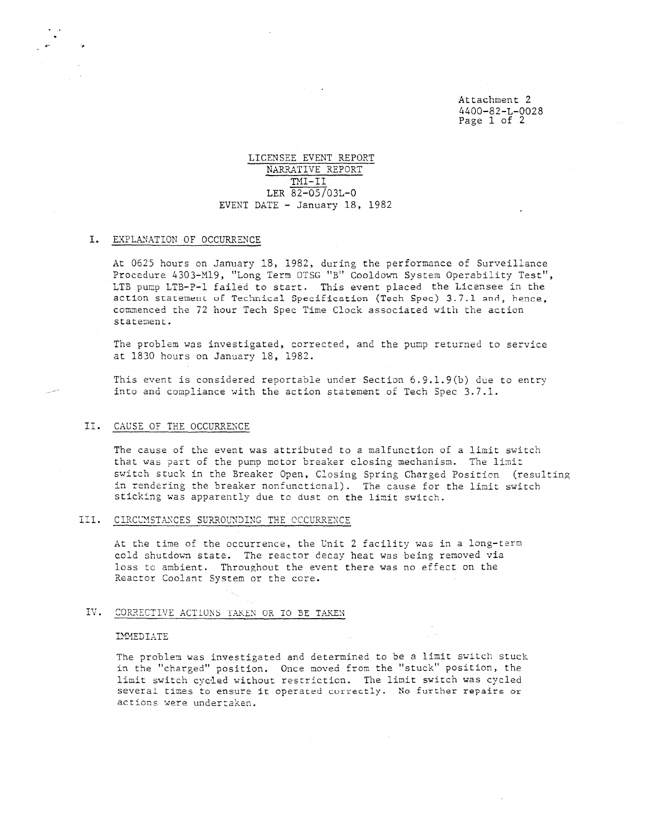Attachment 2 4400-82-L-0028 Page 1 of 2

### LICENSEE EVENT REPORT NARRATIVE REPORT TMI-II LER 82-05/03L-0 EVENT DATE - January 18, 1982

#### I. EXPLANATION OF OCCURRENCE

At 0625 hours on January 18, 1982, during the performance of Surveillance Procedure 4303-M19, "Long Term OTSG "B" Cooldown System Operability Test", LTB pump LTB-P-1 failed to start. This event placed the Licensee in the action statement of Technical Specification (Tech Spec) 3.7.1 and, hence. commenced the 72 hour Tech Spec Time Clock associated with the action statement.

The problem was investigated, corrected, and the pump returned to service at 1830 hours on January 18, 1982.

This event is considered reportable under Section 6.9.1.9(b) due to entry into and compliance with the action statement of Tech Spec 3.7.1.

#### II. CAUSE OF THE OCCURRENCE

The cause of the event was attributed to a malfunction of a limit switch that was part of the pump motor breaker closing mechanism. The limit switch stuck in the Breaker Open, Closing Spring Charged Position (resulting in rendering the breaker nonfunctional). The cause for the limit switch sticking was apparently due to dust on the limit switch.

#### III. CIRCUMSTANCES SURROUNDING THE OCCURRENCE

At the time of the occurrence, the Unit 2 facility was in a long-tern cold shutdown state. The reactor decay heat was being removed via loss to ambient. Throughout the event there was no effect on the Reactor Coolant System or the core.

#### IV. CORRECTIVE ACTIONS TAKEN OR TO DE TAKEN

#### IMMEDIATE

The problem was investigated and determined to be a limit switch stuck in the "charged" position. Once moved from the "stuck" position, the limit switch cycled without restriction. The limit switch was cycled several times to ensure it operated currectly. No further repairs or actions were undertaken.